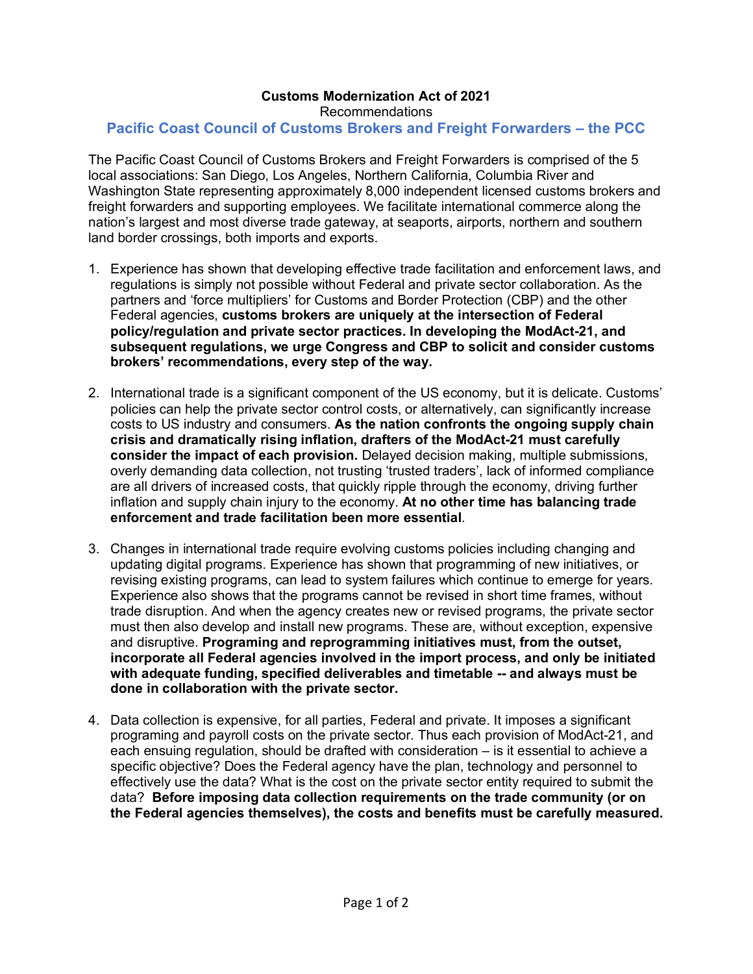## **Customs Modernization Act of 2021** Recommendations **Pacific Coast Council of Customs Brokers and Freight Forwarders – the PCC**

The Pacific Coast Council of Customs Brokers and Freight Forwarders is comprised of the 5 local associations: San Diego, Los Angeles, Northern California, Columbia River and Washington State representing approximately 8,000 independent licensed customs brokers and freight forwarders and supporting employees. We facilitate international commerce along the nation's largest and most diverse trade gateway, at seaports, airports, northern and southern land border crossings, both imports and exports.

- 1. Experience has shown that developing effective trade facilitation and enforcement laws, and regulations is simply not possible without Federal and private sector collaboration. As the partners and 'force multipliers' for Customs and Border Protection (CBP) and the other Federal agencies, **customs brokers are uniquely at the intersection of Federal policy/regulation and private sector practices. In developing the ModAct-21, and subsequent regulations, we urge Congress and CBP to solicit and consider customs brokers' recommendations, every step of the way.**
- 2. International trade is a significant component of the US economy, but it is delicate. Customs' policies can help the private sector control costs, or alternatively, can significantly increase costs to US industry and consumers. **As the nation confronts the ongoing supply chain crisis and dramatically rising inflation, drafters of the ModAct-21 must carefully consider the impact of each provision.** Delayed decision making, multiple submissions, overly demanding data collection, not trusting 'trusted traders', lack of informed compliance are all drivers of increased costs, that quickly ripple through the economy, driving further inflation and supply chain injury to the economy. **At no other time has balancing trade enforcement and trade facilitation been more essential**.
- 3. Changes in international trade require evolving customs policies including changing and updating digital programs. Experience has shown that programming of new initiatives, or revising existing programs, can lead to system failures which continue to emerge for years. Experience also shows that the programs cannot be revised in short time frames, without trade disruption. And when the agency creates new or revised programs, the private sector must then also develop and install new programs. These are, without exception, expensive and disruptive. **Programing and reprogramming initiatives must, from the outset, incorporate all Federal agencies involved in the import process, and only be initiated with adequate funding, specified deliverables and timetable -- and always must be done in collaboration with the private sector.**
- 4. Data collection is expensive, for all parties, Federal and private. It imposes a significant programing and payroll costs on the private sector. Thus each provision of ModAct-21, and each ensuing regulation, should be drafted with consideration – is it essential to achieve a specific objective? Does the Federal agency have the plan, technology and personnel to effectively use the data? What is the cost on the private sector entity required to submit the data? **Before imposing data collection requirements on the trade community (or on the Federal agencies themselves), the costs and benefits must be carefully measured.**